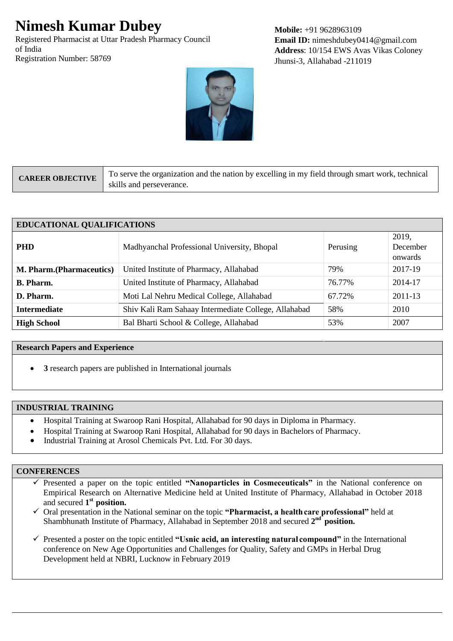# **Nimesh Kumar Dubey**

Registered Pharmacist at Uttar Pradesh Pharmacy Council of India Registration Number: 58769

**Mobile:** +91 9628963109 **Email ID:** nimeshdubey0414@gmail.com **Address**: 10/154 EWS Avas Vikas Coloney Jhunsi-3, Allahabad -211019



| <b>CAREER OBJECTIVE</b> | To serve the organization and the nation by excelling in my field through smart work, technical |
|-------------------------|-------------------------------------------------------------------------------------------------|
|                         | skills and perseverance.                                                                        |

| <b>EDUCATIONAL QUALIFICATIONS</b> |                                                      |          |                              |  |
|-----------------------------------|------------------------------------------------------|----------|------------------------------|--|
| <b>PHD</b>                        | Madhyanchal Professional University, Bhopal          | Perusing | 2019,<br>December<br>onwards |  |
| <b>M. Pharm.</b> (Pharmaceutics)  | United Institute of Pharmacy, Allahabad              | 79%      | 2017-19                      |  |
| <b>B.</b> Pharm.                  | United Institute of Pharmacy, Allahabad              | 76.77%   | 2014-17                      |  |
| D. Pharm.                         | Moti Lal Nehru Medical College, Allahabad            | 67.72%   | 2011-13                      |  |
| <b>Intermediate</b>               | Shiv Kali Ram Sahaay Intermediate College, Allahabad | 58%      | 2010                         |  |
| <b>High School</b>                | Bal Bharti School & College, Allahabad               | 53%      | 2007                         |  |

#### **Research Papers and Experience**

**3** research papers are published in International journals

## **INDUSTRIAL TRAINING**

- Hospital Training at Swaroop Rani Hospital, Allahabad for 90 days in Diploma in Pharmacy.
- Hospital Training at Swaroop Rani Hospital, Allahabad for 90 days in Bachelors of Pharmacy.
- Industrial Training at Arosol Chemicals Pvt. Ltd. For 30 days.

## **CONFERENCES**

 Presented a paper on the topic entitled **"Nanoparticles in Cosmeceuticals"** in the National conference on Empirical Research on Alternative Medicine held at United Institute of Pharmacy, Allahabad in October 2018 and secured 1<sup>st</sup> position.

 Oral presentation in the National seminar on the topic **"Pharmacist, a healthcare professional"** held at Shambhunath Institute of Pharmacy, Allahabad in September 2018 and secured 2<sup>nd</sup> position.

 $\checkmark$  Presented a poster on the topic entitled **"Usnic acid, an interesting natural compound"** in the International conference on New Age Opportunities and Challenges for Quality, Safety and GMPs in Herbal Drug Development held at NBRI, Lucknow in February 2019